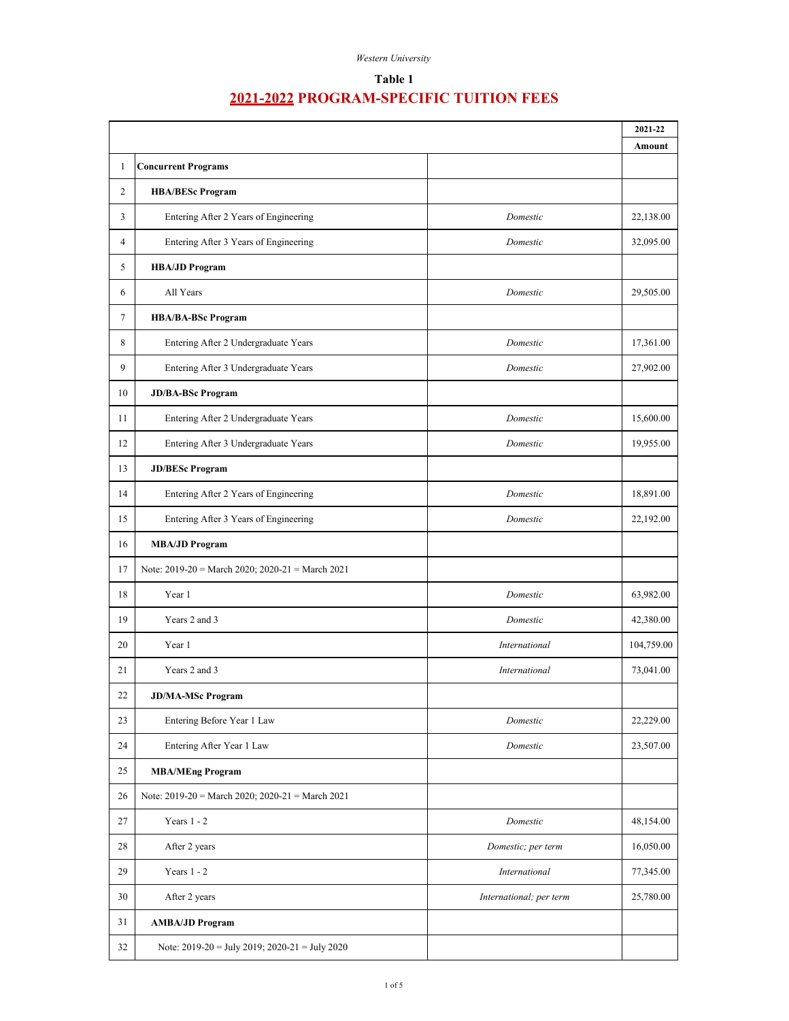### **Table 1**

|        |                                                    |                         | 2021-22<br>Amount |
|--------|----------------------------------------------------|-------------------------|-------------------|
| 1      | <b>Concurrent Programs</b>                         |                         |                   |
| 2      | <b>HBA/BESc Program</b>                            |                         |                   |
| 3      | Entering After 2 Years of Engineering              | Domestic                | 22,138.00         |
| 4      | Entering After 3 Years of Engineering              | Domestic                | 32,095.00         |
| 5      | <b>HBA/JD Program</b>                              |                         |                   |
| 6      | All Years                                          | Domestic                | 29,505.00         |
| $\tau$ | <b>HBA/BA-BSc Program</b>                          |                         |                   |
| 8      | Entering After 2 Undergraduate Years               | Domestic                | 17,361.00         |
| 9      | Entering After 3 Undergraduate Years               | Domestic                | 27,902.00         |
| 10     | <b>JD/BA-BSc Program</b>                           |                         |                   |
| 11     | Entering After 2 Undergraduate Years               | Domestic                | 15,600.00         |
| 12     | Entering After 3 Undergraduate Years               | Domestic                | 19,955.00         |
| 13     | <b>JD/BESc Program</b>                             |                         |                   |
| 14     | Entering After 2 Years of Engineering              | Domestic                | 18,891.00         |
| 15     | Entering After 3 Years of Engineering              | Domestic                | 22,192.00         |
| 16     | <b>MBA/JD Program</b>                              |                         |                   |
| 17     | Note: 2019-20 = March 2020; 2020-21 = March 2021   |                         |                   |
| 18     | Year 1                                             | Domestic                | 63,982.00         |
| 19     | Years 2 and 3                                      | Domestic                | 42,380.00         |
| 20     | Year 1                                             | International           | 104,759.00        |
| 21     | Years 2 and 3                                      | International           | 73,041.00         |
| 22     | <b>JD/MA-MSc Program</b>                           |                         |                   |
| 23     | Entering Before Year 1 Law                         | Domestic                | 22,229.00         |
| 24     | Entering After Year 1 Law                          | Domestic                | 23,507.00         |
| 25     | <b>MBA/MEng Program</b>                            |                         |                   |
| 26     | Note: $2019-20$ = March 2020; 2020-21 = March 2021 |                         |                   |
| 27     | Years $1 - 2$                                      | Domestic                | 48,154.00         |
| 28     | After 2 years                                      | Domestic; per term      | 16,050.00         |
| 29     | Years $1 - 2$                                      | International           | 77,345.00         |
| 30     | After 2 years                                      | International; per term | 25,780.00         |
| 31     | <b>AMBA/JD Program</b>                             |                         |                   |
| 32     | Note: $2019-20 =$ July 2019; $2020-21 =$ July 2020 |                         |                   |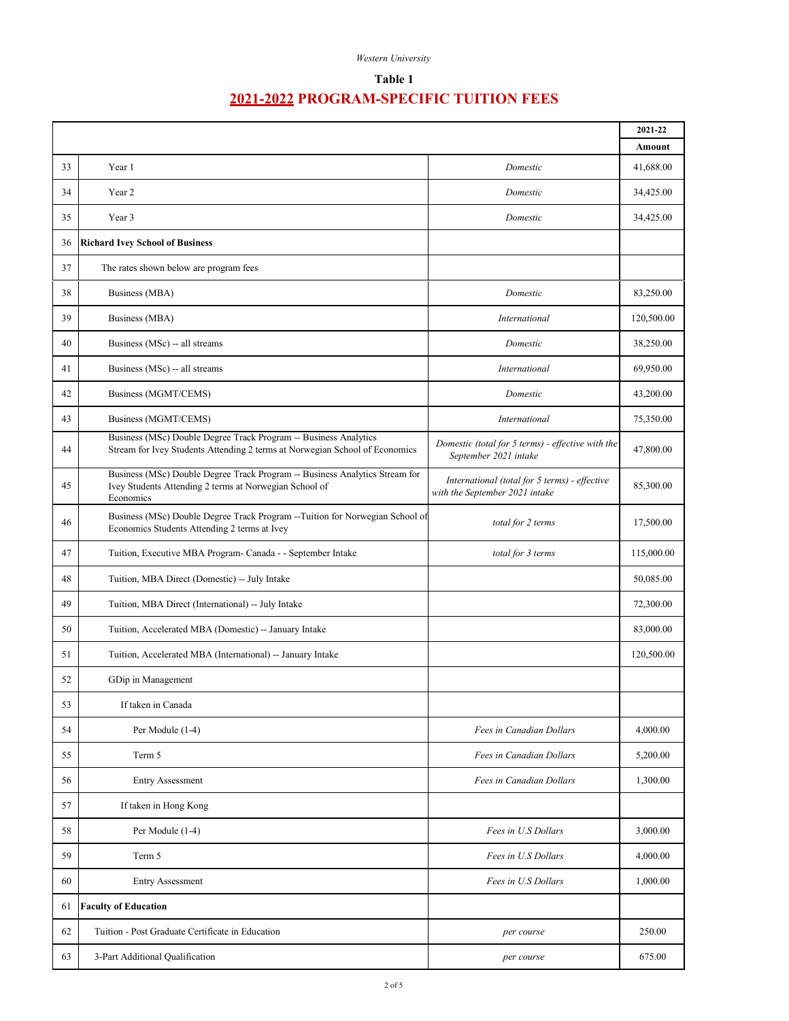| Western University |
|--------------------|
|                    |

## **Table 1**

|    |                                                                                                                                                    | 2021-22                                                                         |            |
|----|----------------------------------------------------------------------------------------------------------------------------------------------------|---------------------------------------------------------------------------------|------------|
|    |                                                                                                                                                    |                                                                                 | Amount     |
| 33 | Year 1                                                                                                                                             | Domestic                                                                        | 41,688.00  |
| 34 | Year 2                                                                                                                                             | Domestic                                                                        | 34,425.00  |
| 35 | Year 3                                                                                                                                             | Domestic                                                                        | 34,425.00  |
| 36 | <b>Richard Ivey School of Business</b>                                                                                                             |                                                                                 |            |
| 37 | The rates shown below are program fees                                                                                                             |                                                                                 |            |
| 38 | Business (MBA)                                                                                                                                     | Domestic                                                                        | 83,250.00  |
| 39 | Business (MBA)                                                                                                                                     | International                                                                   | 120,500.00 |
| 40 | Business (MSc) -- all streams                                                                                                                      | Domestic                                                                        | 38,250.00  |
| 41 | Business (MSc) -- all streams                                                                                                                      | International                                                                   | 69,950.00  |
| 42 | Business (MGMT/CEMS)                                                                                                                               | Domestic                                                                        | 43,200.00  |
| 43 | Business (MGMT/CEMS)                                                                                                                               | International                                                                   | 75,350.00  |
| 44 | Business (MSc) Double Degree Track Program -- Business Analytics<br>Stream for Ivey Students Attending 2 terms at Norwegian School of Economics    | Domestic (total for 5 terms) - effective with the<br>September 2021 intake      | 47,800.00  |
| 45 | Business (MSc) Double Degree Track Program -- Business Analytics Stream for<br>Ivey Students Attending 2 terms at Norwegian School of<br>Economics | International (total for 5 terms) - effective<br>with the September 2021 intake | 85,300.00  |
| 46 | Business (MSc) Double Degree Track Program -- Tuition for Norwegian School of<br>Economics Students Attending 2 terms at Ivey                      | total for 2 terms                                                               | 17,500.00  |
| 47 | Tuition, Executive MBA Program- Canada - - September Intake                                                                                        | total for 3 terms                                                               | 115,000.00 |
| 48 | Tuition, MBA Direct (Domestic) -- July Intake                                                                                                      |                                                                                 | 50,085.00  |
| 49 | Tuition, MBA Direct (International) -- July Intake                                                                                                 |                                                                                 | 72,300.00  |
| 50 | Tuition, Accelerated MBA (Domestic) -- January Intake                                                                                              |                                                                                 | 83,000.00  |
| 51 | Tuition, Accelerated MBA (International) -- January Intake                                                                                         |                                                                                 | 120,500.00 |
| 52 | GDip in Management                                                                                                                                 |                                                                                 |            |
| 53 | If taken in Canada                                                                                                                                 |                                                                                 |            |
| 54 | Per Module (1-4)                                                                                                                                   | Fees in Canadian Dollars                                                        | 4,000.00   |
| 55 | Term 5                                                                                                                                             | Fees in Canadian Dollars                                                        | 5,200.00   |
| 56 | <b>Entry Assessment</b>                                                                                                                            | Fees in Canadian Dollars                                                        | 1,300.00   |
| 57 | If taken in Hong Kong                                                                                                                              |                                                                                 |            |
| 58 | Per Module (1-4)                                                                                                                                   | Fees in U.S Dollars                                                             | 3,000.00   |
| 59 | Term 5                                                                                                                                             | Fees in U.S Dollars                                                             | 4,000.00   |
| 60 | <b>Entry Assessment</b>                                                                                                                            | Fees in U.S Dollars                                                             | 1,000.00   |
| 61 | <b>Faculty of Education</b>                                                                                                                        |                                                                                 |            |
| 62 | Tuition - Post Graduate Certificate in Education                                                                                                   | per course                                                                      | 250.00     |
| 63 | 3-Part Additional Qualification                                                                                                                    | per course                                                                      | 675.00     |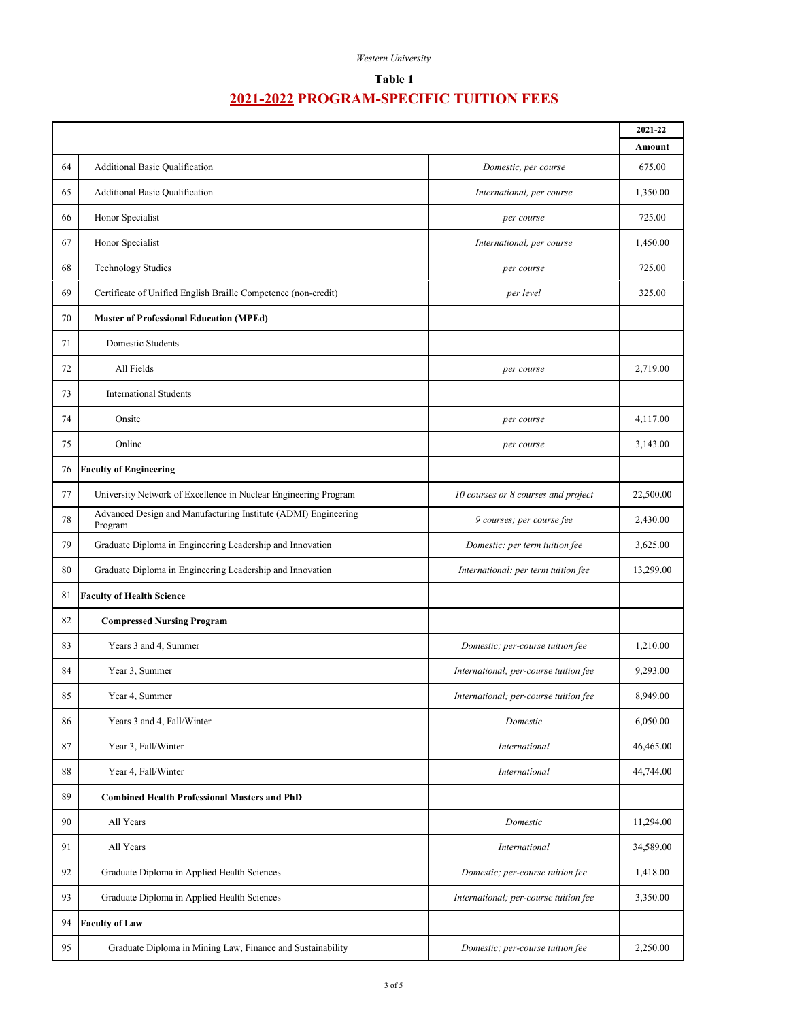| Western University |
|--------------------|
|                    |

## **Table 1**

|        |                                                                           |                                       | 2021-22<br>Amount |
|--------|---------------------------------------------------------------------------|---------------------------------------|-------------------|
| 64     | Additional Basic Qualification                                            | Domestic, per course                  | 675.00            |
| 65     | Additional Basic Qualification                                            | International, per course             | 1,350.00          |
| 66     | Honor Specialist                                                          | per course                            | 725.00            |
| 67     | Honor Specialist                                                          | International, per course             | 1,450.00          |
| 68     | <b>Technology Studies</b>                                                 | per course                            | 725.00            |
| 69     | Certificate of Unified English Braille Competence (non-credit)            | per level                             | 325.00            |
| 70     | <b>Master of Professional Education (MPEd)</b>                            |                                       |                   |
| 71     | Domestic Students                                                         |                                       |                   |
| 72     | All Fields                                                                | per course                            | 2,719.00          |
| 73     | <b>International Students</b>                                             |                                       |                   |
| 74     | Onsite                                                                    | per course                            | 4,117.00          |
| 75     | Online                                                                    | per course                            | 3,143.00          |
| 76     | <b>Faculty of Engineering</b>                                             |                                       |                   |
| 77     | University Network of Excellence in Nuclear Engineering Program           | 10 courses or 8 courses and project   | 22,500.00         |
| 78     | Advanced Design and Manufacturing Institute (ADMI) Engineering<br>Program | 9 courses; per course fee             | 2,430.00          |
| 79     | Graduate Diploma in Engineering Leadership and Innovation                 | Domestic: per term tuition fee        | 3,625.00          |
| 80     | Graduate Diploma in Engineering Leadership and Innovation                 | International: per term tuition fee   | 13,299.00         |
| 81     | <b>Faculty of Health Science</b>                                          |                                       |                   |
| 82     | <b>Compressed Nursing Program</b>                                         |                                       |                   |
| 83     | Years 3 and 4, Summer                                                     | Domestic; per-course tuition fee      | 1,210.00          |
| 84     | Year 3, Summer                                                            | International; per-course tuition fee | 9,293.00          |
| 85     | Year 4, Summer                                                            | International; per-course tuition fee | 8,949.00          |
| 86     | Years 3 and 4, Fall/Winter                                                | Domestic                              | 6,050.00          |
| 87     | Year 3, Fall/Winter                                                       | International                         | 46,465.00         |
| $88\,$ | Year 4, Fall/Winter                                                       | International                         | 44,744.00         |
| 89     | <b>Combined Health Professional Masters and PhD</b>                       |                                       |                   |
| 90     | All Years                                                                 | Domestic                              | 11,294.00         |
| 91     | All Years                                                                 | International                         | 34,589.00         |
| 92     | Graduate Diploma in Applied Health Sciences                               | Domestic; per-course tuition fee      | 1,418.00          |
| 93     | Graduate Diploma in Applied Health Sciences                               | International; per-course tuition fee | 3,350.00          |
| 94     | <b>Faculty of Law</b>                                                     |                                       |                   |
| 95     | Graduate Diploma in Mining Law, Finance and Sustainability                | Domestic; per-course tuition fee      | 2,250.00          |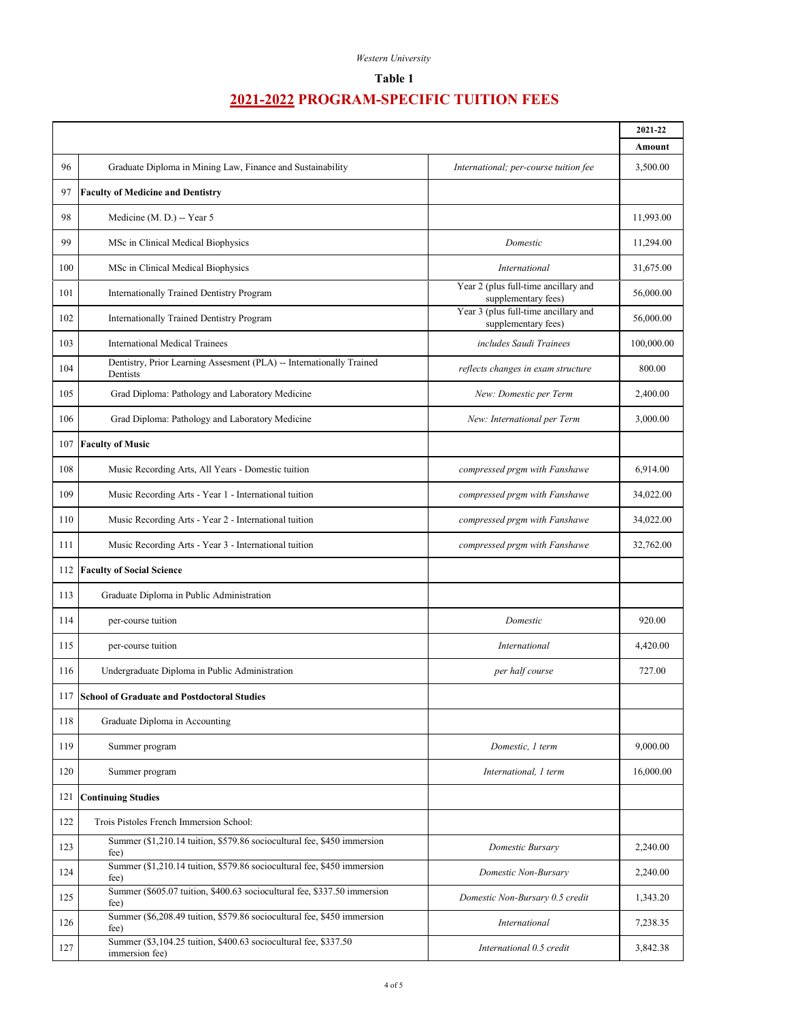#### *Western University*

## **Table 1**

|     |                                                                                    |                                                             | 2021-22    |
|-----|------------------------------------------------------------------------------------|-------------------------------------------------------------|------------|
|     |                                                                                    |                                                             | Amount     |
| 96  | Graduate Diploma in Mining Law, Finance and Sustainability                         | International; per-course tuition fee                       | 3,500.00   |
| 97  | <b>Faculty of Medicine and Dentistry</b>                                           |                                                             |            |
| 98  | Medicine (M. D.) -- Year 5                                                         |                                                             | 11,993.00  |
| 99  | MSc in Clinical Medical Biophysics                                                 | Domestic                                                    | 11,294.00  |
| 100 | MSc in Clinical Medical Biophysics                                                 | <b>International</b>                                        | 31,675.00  |
| 101 | Internationally Trained Dentistry Program                                          | Year 2 (plus full-time ancillary and<br>supplementary fees) | 56,000.00  |
| 102 | Internationally Trained Dentistry Program                                          | Year 3 (plus full-time ancillary and<br>supplementary fees) | 56,000.00  |
| 103 | <b>International Medical Trainees</b>                                              | includes Saudi Trainees                                     | 100,000.00 |
| 104 | Dentistry, Prior Learning Assesment (PLA) -- Internationally Trained<br>Dentists   | reflects changes in exam structure                          | 800.00     |
| 105 | Grad Diploma: Pathology and Laboratory Medicine                                    | New: Domestic per Term                                      | 2,400.00   |
| 106 | Grad Diploma: Pathology and Laboratory Medicine                                    | New: International per Term                                 | 3,000.00   |
| 107 | <b>Faculty of Music</b>                                                            |                                                             |            |
| 108 | Music Recording Arts, All Years - Domestic tuition                                 | compressed prgm with Fanshawe                               | 6,914.00   |
| 109 | Music Recording Arts - Year 1 - International tuition                              | compressed prgm with Fanshawe                               | 34,022.00  |
| 110 | Music Recording Arts - Year 2 - International tuition                              | compressed prgm with Fanshawe                               | 34,022.00  |
| 111 | Music Recording Arts - Year 3 - International tuition                              | compressed prgm with Fanshawe                               | 32,762.00  |
| 112 | <b>Faculty of Social Science</b>                                                   |                                                             |            |
| 113 | Graduate Diploma in Public Administration                                          |                                                             |            |
| 114 | per-course tuition                                                                 | Domestic                                                    | 920.00     |
| 115 | per-course tuition                                                                 | International                                               | 4,420.00   |
| 116 | Undergraduate Diploma in Public Administration                                     | per half course                                             | 727.00     |
| 117 | <b>School of Graduate and Postdoctoral Studies</b>                                 |                                                             |            |
| 118 | Graduate Diploma in Accounting                                                     |                                                             |            |
| 119 | Summer program                                                                     | Domestic, 1 term                                            | 9,000.00   |
| 120 | Summer program                                                                     | International, 1 term                                       | 16,000.00  |
| 121 | <b>Continuing Studies</b>                                                          |                                                             |            |
| 122 | Trois Pistoles French Immersion School:                                            |                                                             |            |
| 123 | Summer (\$1,210.14 tuition, \$579.86 sociocultural fee, \$450 immersion<br>fee)    | Domestic Bursary                                            | 2,240.00   |
| 124 | Summer (\$1,210.14 tuition, \$579.86 sociocultural fee, \$450 immersion<br>fee)    | Domestic Non-Bursary                                        | 2,240.00   |
| 125 | Summer (\$605.07 tuition, \$400.63 sociocultural fee, \$337.50 immersion<br>fee)   | Domestic Non-Bursary 0.5 credit                             | 1,343.20   |
| 126 | Summer (\$6,208.49 tuition, \$579.86 sociocultural fee, \$450 immersion<br>fee)    | International                                               | 7,238.35   |
| 127 | Summer (\$3,104.25 tuition, \$400.63 sociocultural fee, \$337.50<br>immersion fee) | International 0.5 credit                                    | 3,842.38   |